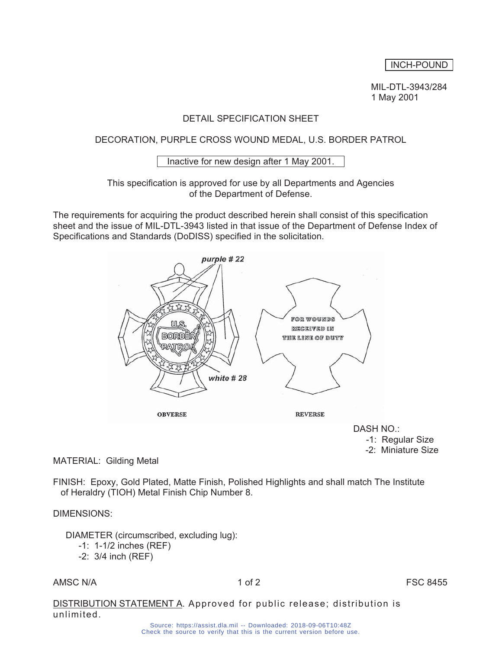# INCH-POUND

 MIL-DTL-3943/284 1 May 2001

# DETAIL SPECIFICATION SHEET

# DECORATION, PURPLE CROSS WOUND MEDAL, U.S. BORDER PATROL

#### Inactive for new design after 1 May 2001.

## This specification is approved for use by all Departments and Agencies of the Department of Defense.

The requirements for acquiring the product described herein shall consist of this specification sheet and the issue of MIL-DTL-3943 listed in that issue of the Department of Defense Index of Specifications and Standards (DoDISS) specified in the solicitation.



 DASH NO.: -1: Regular Size -2: Miniature Size

MATERIAL: Gilding Metal

FINISH: Epoxy, Gold Plated, Matte Finish, Polished Highlights and shall match The Institute of Heraldry (TIOH) Metal Finish Chip Number 8.

## DIMENSIONS:

DIAMETER (circumscribed, excluding lug):

- -1: 1-1/2 inches (REF)
- -2: 3/4 inch (REF)

AMSC N/A **1 of 2 1 of 2 FSC 8455** 

DISTRIBUTION STATEMENT A. Approved for public release; distribution is unlimited.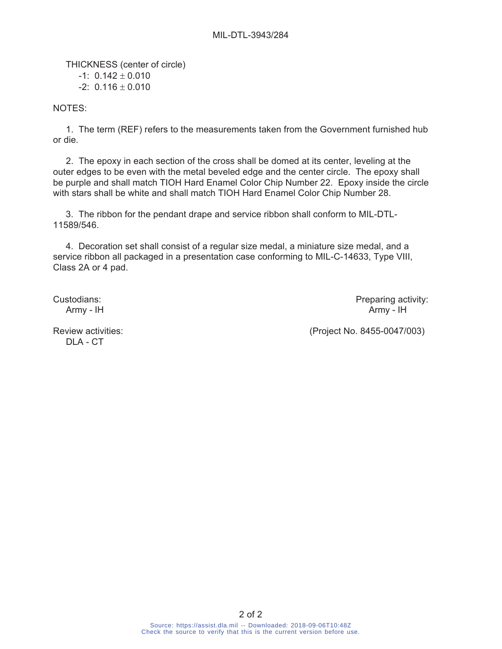THICKNESS (center of circle)  $-1: 0.142 \pm 0.010$  $-2: 0.116 \pm 0.010$ 

NOTES:

 1. The term (REF) refers to the measurements taken from the Government furnished hub or die.

 2. The epoxy in each section of the cross shall be domed at its center, leveling at the outer edges to be even with the metal beveled edge and the center circle. The epoxy shall be purple and shall match TIOH Hard Enamel Color Chip Number 22. Epoxy inside the circle with stars shall be white and shall match TIOH Hard Enamel Color Chip Number 28.

 3. The ribbon for the pendant drape and service ribbon shall conform to MIL-DTL-11589/546.

 4. Decoration set shall consist of a regular size medal, a miniature size medal, and a service ribbon all packaged in a presentation case conforming to MIL-C-14633, Type VIII, Class 2A or 4 pad.

Custodians: Preparing activity: Army - IH Army - IH

DLA - CT

Review activities: (Project No. 8455-0047/003)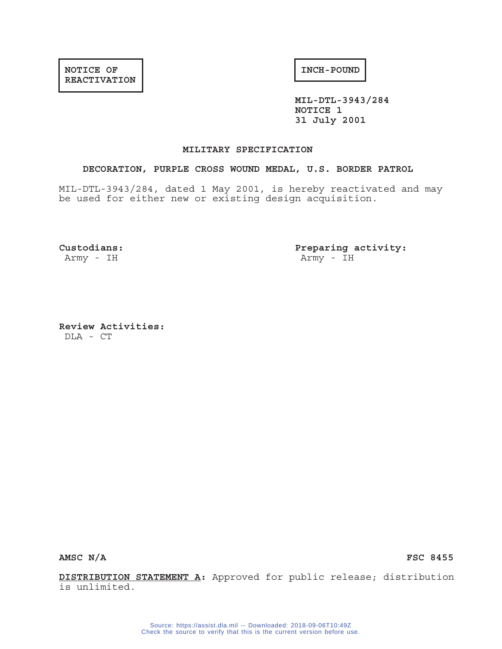**MIL-DTL-3943/284 NOTICE 1 31 July 2001**

#### **MILITARY SPECIFICATION**

#### **DECORATION, PURPLE CROSS WOUND MEDAL, U.S. BORDER PATROL**

MIL-DTL-3943/284, dated 1 May 2001, is hereby reactivated and may be used for either new or existing design acquisition.

**Custodians: Preparing activity:** Army - IH  $\blacksquare$ 

**Review Activities:** DLA - CT

AMSC N/A FSC 8455

**DISTRIBUTION STATEMENT A:** Approved for public release; distribution is unlimited.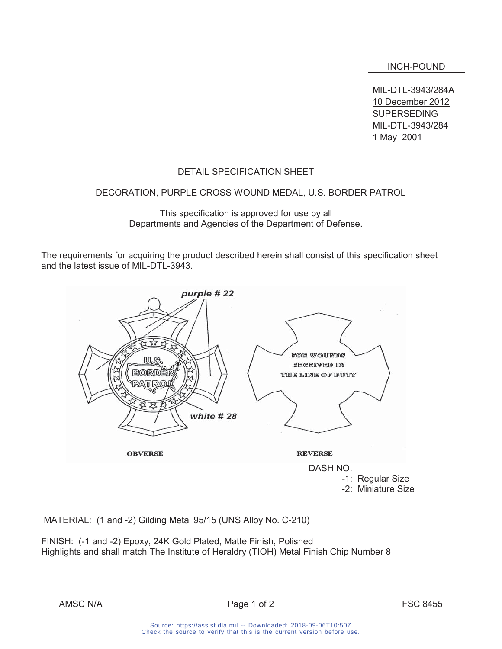INCH-POUND

MIL-DTL-3943/284A 10 December 2012 **SUPERSEDING** MIL-DTL-3943/284 1 May 2001

# DETAIL SPECIFICATION SHEET

## DECORATION, PURPLE CROSS WOUND MEDAL, U.S. BORDER PATROL

This specification is approved for use by all Departments and Agencies of the Department of Defense.

The requirements for acquiring the product described herein shall consist of this specification sheet and the latest issue of MIL-DTL-3943.



MATERIAL: (1 and -2) Gilding Metal 95/15 (UNS Alloy No. C-210)

FINISH: (-1 and -2) Epoxy, 24K Gold Plated, Matte Finish, Polished Highlights and shall match The Institute of Heraldry (TIOH) Metal Finish Chip Number 8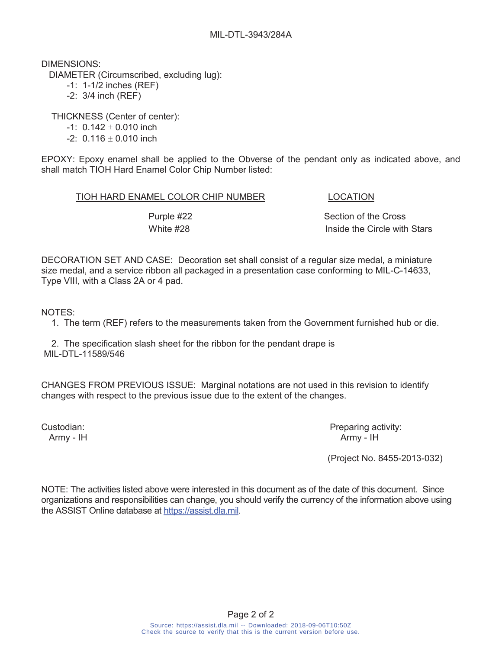DIMENSIONS:

DIAMETER (Circumscribed, excluding lug):

-1: 1-1/2 inches (REF)

-2: 3/4 inch (REF)

THICKNESS (Center of center):

- $-1$ : 0.142  $\pm$  0.010 inch
- $-2$ : 0.116  $\pm$  0.010 inch

EPOXY: Epoxy enamel shall be applied to the Obverse of the pendant only as indicated above, and shall match TIOH Hard Enamel Color Chip Number listed:

## TIOH HARD ENAMEL COLOR CHIP NUMBER LOCATION

Purple #22 Section of the Cross White #28 **Inside the Circle with Stars** 

DECORATION SET AND CASE: Decoration set shall consist of a regular size medal, a miniature size medal, and a service ribbon all packaged in a presentation case conforming to MIL-C-14633, Type VIII, with a Class 2A or 4 pad.

NOTES:

1. The term (REF) refers to the measurements taken from the Government furnished hub or die.

 2. The specification slash sheet for the ribbon for the pendant drape is MIL-DTL-11589/546

CHANGES FROM PREVIOUS ISSUE: Marginal notations are not used in this revision to identify changes with respect to the previous issue due to the extent of the changes.

Custodian: Custodian: Preparing activity: Army - IH Army - IH Army - IH

(Project No. 8455-2013-032)

NOTE: The activities listed above were interested in this document as of the date of this document. Since organizations and responsibilities can change, you should verify the currency of the information above using the ASSIST Online database at https://assist.dla.mil.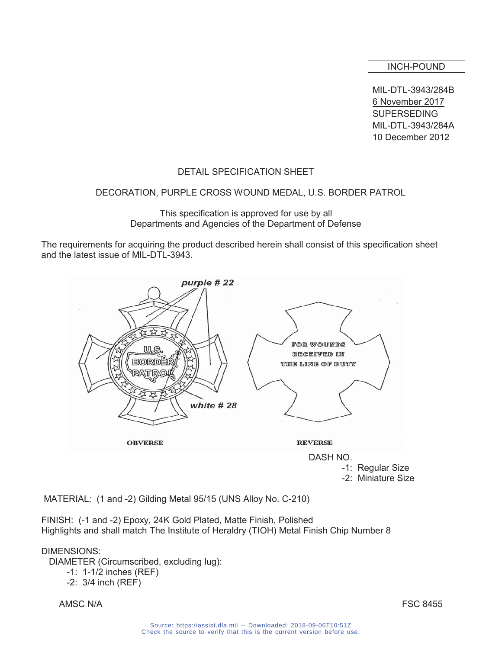#### INCH-POUND

MIL-DTL-3943/284B 6 November 2017 **SUPERSEDING** MIL-DTL-3943/284A 10 December 2012

# DETAIL SPECIFICATION SHEET

## DECORATION, PURPLE CROSS WOUND MEDAL, U.S. BORDER PATROL

This specification is approved for use by all Departments and Agencies of the Department of Defense

The requirements for acquiring the product described herein shall consist of this specification sheet and the latest issue of MIL-DTL-3943.



MATERIAL: (1 and -2) Gilding Metal 95/15 (UNS Alloy No. C-210)

FINISH: (-1 and -2) Epoxy, 24K Gold Plated, Matte Finish, Polished Highlights and shall match The Institute of Heraldry (TIOH) Metal Finish Chip Number 8

#### DIMENSIONS:

DIAMETER (Circumscribed, excluding lug):

```
 -1: 1-1/2 inches (REF)
```

```
 -2: 3/4 inch (REF)
```
AMSC N/A FSC 8455